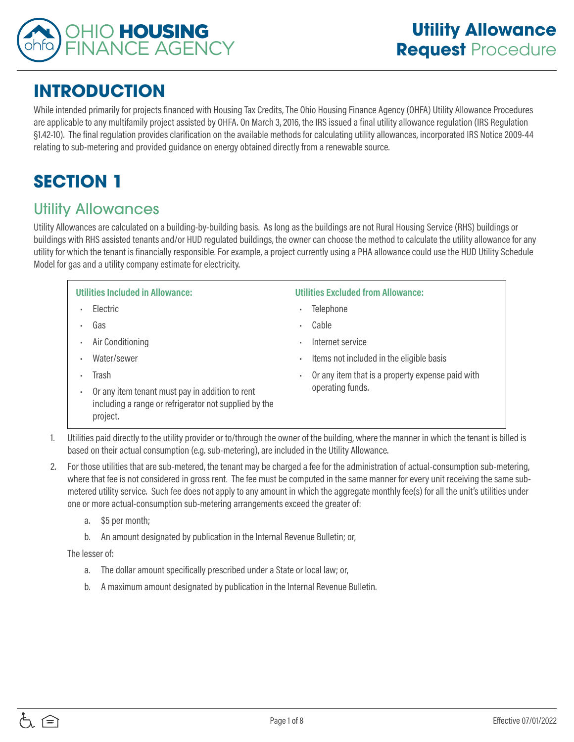

# **INTRODUCTION**

While intended primarily for projects financed with Housing Tax Credits, The Ohio Housing Finance Agency (OHFA) Utility Allowance Procedures are applicable to any multifamily project assisted by OHFA. On March 3, 2016, the IRS issued a final utility allowance regulation (IRS Regulation §1.42-10). The final regulation provides clarification on the available methods for calculating utility allowances, incorporated IRS Notice 2009-44 relating to sub-metering and provided guidance on energy obtained directly from a renewable source.

# **SECTION 1**

### Utility Allowances

Utility Allowances are calculated on a building-by-building basis. As long as the buildings are not Rural Housing Service (RHS) buildings or buildings with RHS assisted tenants and/or HUD regulated buildings, the owner can choose the method to calculate the utility allowance for any utility for which the tenant is financially responsible. For example, a project currently using a PHA allowance could use the HUD Utility Schedule Model for gas and a utility company estimate for electricity.

| <b>Utilities Included in Allowance:</b>                                                                              | <b>Utilities Excluded from Allowance:</b>             |
|----------------------------------------------------------------------------------------------------------------------|-------------------------------------------------------|
| <b>Flectric</b>                                                                                                      | Telephone<br>٠                                        |
| Gas                                                                                                                  | Cable<br>٠                                            |
| Air Conditioning                                                                                                     | Internet service<br>×.                                |
| Water/sewer                                                                                                          | Items not included in the eligible basis<br>٠         |
| Trash                                                                                                                | Or any item that is a property expense paid with<br>٠ |
| Or any item tenant must pay in addition to rent<br>including a range or refrigerator not supplied by the<br>project. | operating funds.                                      |

- 1. Utilities paid directly to the utility provider or to/through the owner of the building, where the manner in which the tenant is billed is based on their actual consumption (e.g. sub-metering), are included in the Utility Allowance.
- 2. For those utilities that are sub-metered, the tenant may be charged a fee for the administration of actual-consumption sub-metering, where that fee is not considered in gross rent. The fee must be computed in the same manner for every unit receiving the same submetered utility service. Such fee does not apply to any amount in which the aggregate monthly fee(s) for all the unit's utilities under one or more actual-consumption sub-metering arrangements exceed the greater of:
	- a. \$5 per month;
	- b. An amount designated by publication in the Internal Revenue Bulletin; or,

The lesser of:

- a. The dollar amount specifically prescribed under a State or local law; or,
- b. A maximum amount designated by publication in the Internal Revenue Bulletin.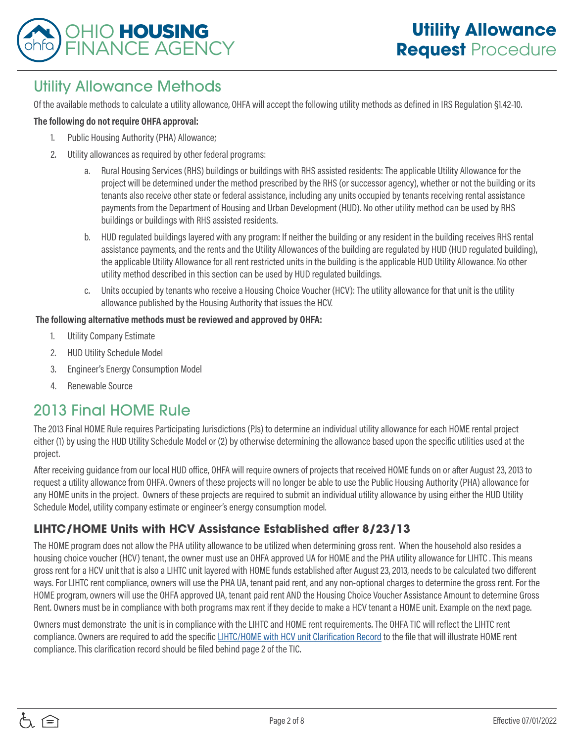

## Utility Allowance Methods

Of the available methods to calculate a utility allowance, OHFA will accept the following utility methods as defined in IRS Regulation §1.42-10.

#### **The following do not require OHFA approval:**

- 1. Public Housing Authority (PHA) Allowance;
- 2. Utility allowances as required by other federal programs:
	- a. Rural Housing Services (RHS) buildings or buildings with RHS assisted residents: The applicable Utility Allowance for the project will be determined under the method prescribed by the RHS (or successor agency), whether or not the building or its tenants also receive other state or federal assistance, including any units occupied by tenants receiving rental assistance payments from the Department of Housing and Urban Development (HUD). No other utility method can be used by RHS buildings or buildings with RHS assisted residents.
	- b. HUD regulated buildings layered with any program: If neither the building or any resident in the building receives RHS rental assistance payments, and the rents and the Utility Allowances of the building are regulated by HUD (HUD regulated building), the applicable Utility Allowance for all rent restricted units in the building is the applicable HUD Utility Allowance. No other utility method described in this section can be used by HUD regulated buildings.
	- c. Units occupied by tenants who receive a Housing Choice Voucher (HCV): The utility allowance for that unit is the utility allowance published by the Housing Authority that issues the HCV.

#### **The following alternative methods must be reviewed and approved by OHFA:**

- 1. Utility Company Estimate
- 2. HUD Utility Schedule Model
- 3. Engineer's Energy Consumption Model
- 4. Renewable Source

### 2013 Final HOME Rule

The 2013 Final HOME Rule requires Participating Jurisdictions (PJs) to determine an individual utility allowance for each HOME rental project either (1) by using the HUD Utility Schedule Model or (2) by otherwise determining the allowance based upon the specific utilities used at the project.

After receiving guidance from our local HUD office, OHFA will require owners of projects that received HOME funds on or after August 23, 2013 to request a utility allowance from OHFA. Owners of these projects will no longer be able to use the Public Housing Authority (PHA) allowance for any HOME units in the project. Owners of these projects are required to submit an individual utility allowance by using either the HUD Utility Schedule Model, utility company estimate or engineer's energy consumption model.

#### **LIHTC/HOME Units with HCV Assistance Established after 8/23/13**

The HOME program does not allow the PHA utility allowance to be utilized when determining gross rent. When the household also resides a housing choice voucher (HCV) tenant, the owner must use an OHFA approved UA for HOME and the PHA utility allowance for LIHTC . This means gross rent for a HCV unit that is also a LIHTC unit layered with HOME funds established after August 23, 2013, needs to be calculated two different ways. For LIHTC rent compliance, owners will use the PHA UA, tenant paid rent, and any non-optional charges to determine the gross rent. For the HOME program, owners will use the OHFA approved UA, tenant paid rent AND the Housing Choice Voucher Assistance Amount to determine Gross Rent. Owners must be in compliance with both programs max rent if they decide to make a HCV tenant a HOME unit. Example on the next page.

Owners must demonstrate the unit is in compliance with the LIHTC and HOME rent requirements. The OHFA TIC will reflect the LIHTC rent compliance. Owners are required to add the specific [LIHTC/HOME with HCV unit Clarification Record](https://www.ohiohome.org/compliance/documents/PC-E37-LIHTC-HOME-HCV.pdf) to the file that will illustrate HOME rent compliance. This clarification record should be filed behind page 2 of the TIC.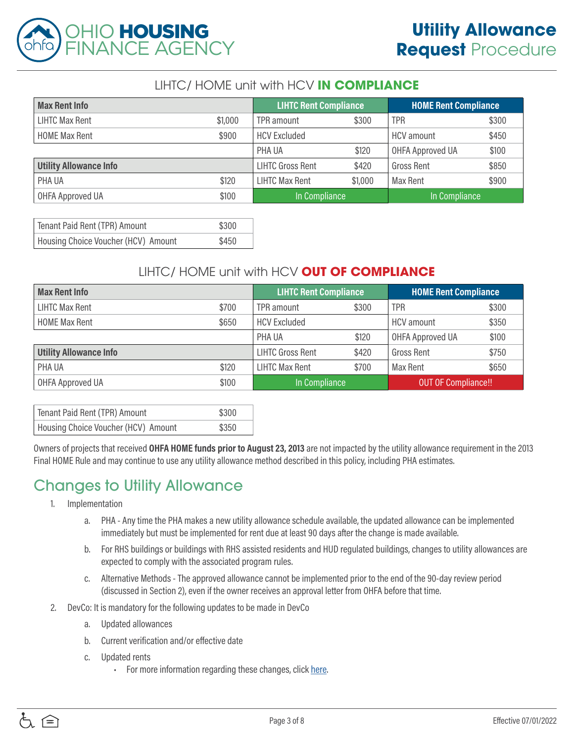

#### LIHTC/ HOME unit with HCV **IN COMPLIANCE**

| <b>Max Rent Info</b>          |         | <b>LIHTC Rent Compliance</b> |         | <b>HOME Rent Compliance</b> |       |
|-------------------------------|---------|------------------------------|---------|-----------------------------|-------|
| LIHTC Max Rent                | \$1,000 | TPR amount                   | \$300   | <b>TPR</b>                  | \$300 |
| <b>HOME Max Rent</b>          | \$900   | <b>HCV Excluded</b>          |         | HCV amount                  | \$450 |
|                               |         | PHA UA                       | \$120   | <b>OHFA Approved UA</b>     | \$100 |
| <b>Utility Allowance Info</b> |         | <b>LIHTC Gross Rent</b>      | \$420   | <b>Gross Rent</b>           | \$850 |
| PHA UA                        | \$120   | <b>LIHTC Max Rent</b>        | \$1,000 | Max Rent                    | \$900 |
| <b>OHFA Approved UA</b>       | \$100   | In Compliance                |         | In Compliance               |       |

| Tenant Paid Rent (TPR) Amount       | \$300 |
|-------------------------------------|-------|
| Housing Choice Voucher (HCV) Amount | \$450 |

#### LIHTC/ HOME unit with HCV **OUT OF COMPLIANCE**

| <b>Max Rent Info</b>          |       | <b>LIHTC Rent Compliance</b> |       | <b>HOME Rent Compliance</b> |       |
|-------------------------------|-------|------------------------------|-------|-----------------------------|-------|
| <b>LIHTC Max Rent</b>         | \$700 | TPR amount                   | \$300 | <b>TPR</b>                  | \$300 |
| <b>HOME Max Rent</b>          | \$650 | <b>HCV Excluded</b>          |       | <b>HCV</b> amount           | \$350 |
|                               |       | PHA UA                       | \$120 | OHFA Approved UA            | \$100 |
| <b>Utility Allowance Info</b> |       | <b>LIHTC Gross Rent</b>      | \$420 | <b>Gross Rent</b>           | \$750 |
| PHA UA                        | \$120 | <b>LIHTC Max Rent</b>        | \$700 | Max Rent                    | \$650 |
| OHFA Approved UA              | \$100 | In Compliance                |       | <b>OUT OF Compliance!!</b>  |       |

| Tenant Paid Rent (TPR) Amount       | \$300 |
|-------------------------------------|-------|
| Housing Choice Voucher (HCV) Amount | \$350 |

Owners of projects that received **OHFA HOME funds prior to August 23, 2013** are not impacted by the utility allowance requirement in the 2013 Final HOME Rule and may continue to use any utility allowance method described in this policy, including PHA estimates.

## Changes to Utility Allowance

- 1. Implementation
	- a. PHA Any time the PHA makes a new utility allowance schedule available, the updated allowance can be implemented immediately but must be implemented for rent due at least 90 days after the change is made available.
	- b. For RHS buildings or buildings with RHS assisted residents and HUD regulated buildings, changes to utility allowances are expected to comply with the associated program rules.
	- c. Alternative Methods The approved allowance cannot be implemented prior to the end of the 90-day review period (discussed in Section 2), even if the owner receives an approval letter from OHFA before that time.
- 2. DevCo: It is mandatory for the following updates to be made in DevCo
	- a. Updated allowances
	- b. Current verification and/or effective date
	- c. Updated rents
		- For more information regarding these changes, click [here.](https://ohiohome.org/devco/documents/Devco_SectionV.pdf)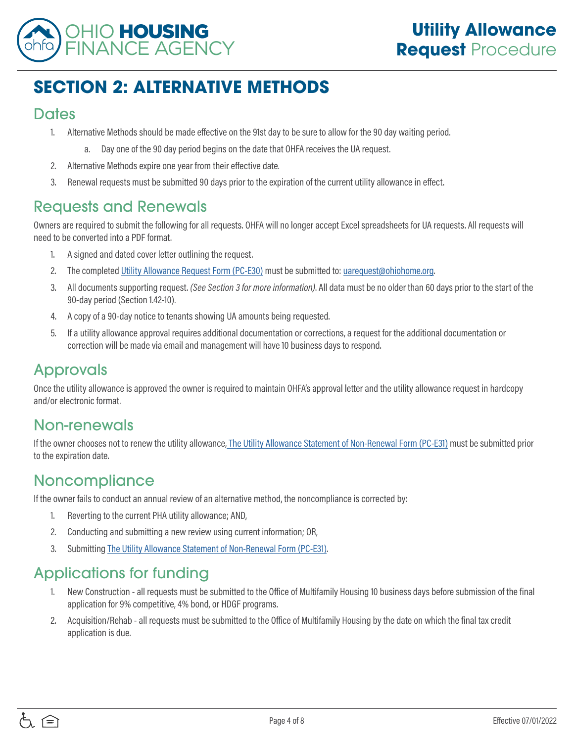

# **SECTION 2: ALTERNATIVE METHODS**

#### **Dates**

- 1. Alternative Methods should be made effective on the 91st day to be sure to allow for the 90 day waiting period.
	- a. Day one of the 90 day period begins on the date that OHFA receives the UA request.
- 2. Alternative Methods expire one year from their effective date.
- 3. Renewal requests must be submitted 90 days prior to the expiration of the current utility allowance in effect.

### Requests and Renewals

Owners are required to submit the following for all requests. OHFA will no longer accept Excel spreadsheets for UA requests. All requests will need to be converted into a PDF format.

- 1. A signed and dated cover letter outlining the request.
- 2. The completed [Utility Allowance Request Form \(PC-E30\)](http://ohiohome.org/compliance/documents/utilityallowanceform_PC-E30.pdf) must be submitted to: [uarequest@ohiohome.org.](mailto:uarequest%40ohiohome.org?subject=)
- 3. All documents supporting request. *(See Section 3 for more information)*. All data must be no older than 60 days prior to the start of the 90-day period (Section 1.42-10).
- 4. A copy of a 90-day notice to tenants showing UA amounts being requested.
- 5. If a utility allowance approval requires additional documentation or corrections, a request for the additional documentation or correction will be made via email and management will have 10 business days to respond.

## Approvals

Once the utility allowance is approved the owner is required to maintain OHFA's approval letter and the utility allowance request in hardcopy and/or electronic format.

### Non-renewals

If the owner chooses not to renew the utility allowance[, The Utility Allowance Statement of Non-Renewal Form \(PC-E31\)](http://ohiohome.org/compliance/documents/utilityallowancestatement_PC-E31.pdf) must be submitted prior to the expiration date.

### **Noncompliance**

If the owner fails to conduct an annual review of an alternative method, the noncompliance is corrected by:

- 1. Reverting to the current PHA utility allowance; AND,
- 2. Conducting and submitting a new review using current information; OR,
- 3. Submitting [The Utility Allowance Statement of Non-Renewal Form \(PC-E31\).](http://ohiohome.org/compliance/documents/utilityallowancestatement_PC-E31.pdf)

## Applications for funding

- 1. New Construction all requests must be submitted to the Office of Multifamily Housing 10 business days before submission of the final application for 9% competitive, 4% bond, or HDGF programs.
- 2. Acquisition/Rehab all requests must be submitted to the Office of Multifamily Housing by the date on which the final tax credit application is due.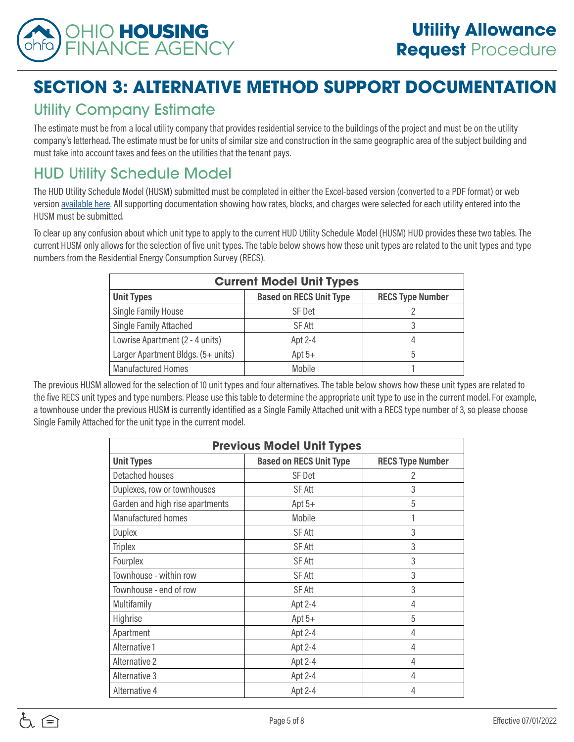

# **SECTION 3: ALTERNATIVE METHOD SUPPORT DOCUMENTATION**

## Utility Company Estimate

The estimate must be from a local utility company that provides residential service to the buildings of the project and must be on the utility company's letterhead. The estimate must be for units of similar size and construction in the same geographic area of the subject building and must take into account taxes and fees on the utilities that the tenant pays.

# HUD Utility Schedule Model

The HUD Utility Schedule Model (HUSM) submitted must be completed in either the Excel-based version (converted to a PDF format) or web version [available here.](https://www.huduser.gov/portal/resources/utilallowance.html) All supporting documentation showing how rates, blocks, and charges were selected for each utility entered into the HUSM must be submitted.

To clear up any confusion about which unit type to apply to the current HUD Utility Schedule Model (HUSM) HUD provides these two tables. The current HUSM only allows for the selection of five unit types. The table below shows how these unit types are related to the unit types and type numbers from the Residential Energy Consumption Survey (RECS).

| <b>Current Model Unit Types</b>    |                                |                         |  |
|------------------------------------|--------------------------------|-------------------------|--|
| <b>Unit Types</b>                  | <b>Based on RECS Unit Type</b> | <b>RECS Type Number</b> |  |
| Single Family House                | SF Det                         |                         |  |
| Single Family Attached             | SF Att                         | 3                       |  |
| Lowrise Apartment (2 - 4 units)    | Apt 2-4                        | 4                       |  |
| Larger Apartment Bldgs. (5+ units) | Apt $5+$                       | h                       |  |
| <b>Manufactured Homes</b>          | Mobile                         |                         |  |

The previous HUSM allowed for the selection of 10 unit types and four alternatives. The table below shows how these unit types are related to the five RECS unit types and type numbers. Please use this table to determine the appropriate unit type to use in the current model. For example, a townhouse under the previous HUSM is currently identified as a Single Family Attached unit with a RECS type number of 3, so please choose Single Family Attached for the unit type in the current model.

| <b>Previous Model Unit Types</b> |                                |                         |  |
|----------------------------------|--------------------------------|-------------------------|--|
| <b>Unit Types</b>                | <b>Based on RECS Unit Type</b> | <b>RECS Type Number</b> |  |
| Detached houses                  | SF Det                         | 2                       |  |
| Duplexes, row or townhouses      | <b>SF Att</b>                  | 3                       |  |
| Garden and high rise apartments  | Apt $5+$                       | 5                       |  |
| Manufactured homes               | Mobile                         | 1                       |  |
| <b>Duplex</b>                    | SF Att                         | 3                       |  |
| <b>Triplex</b>                   | SF Att                         | 3                       |  |
| Fourplex                         | SF Att                         | 3                       |  |
| Townhouse - within row           | <b>SF Att</b>                  | 3                       |  |
| Townhouse - end of row           | <b>SF Att</b>                  | 3                       |  |
| Multifamily                      | Apt 2-4                        | 4                       |  |
| Highrise                         | Apt $5+$                       | 5                       |  |
| Apartment                        | Apt 2-4                        | 4                       |  |
| Alternative 1                    | Apt 2-4                        | 4                       |  |
| Alternative 2                    | Apt 2-4                        | 4                       |  |
| Alternative 3                    | Apt 2-4                        | 4                       |  |
| Alternative 4                    | Apt 2-4                        | 4                       |  |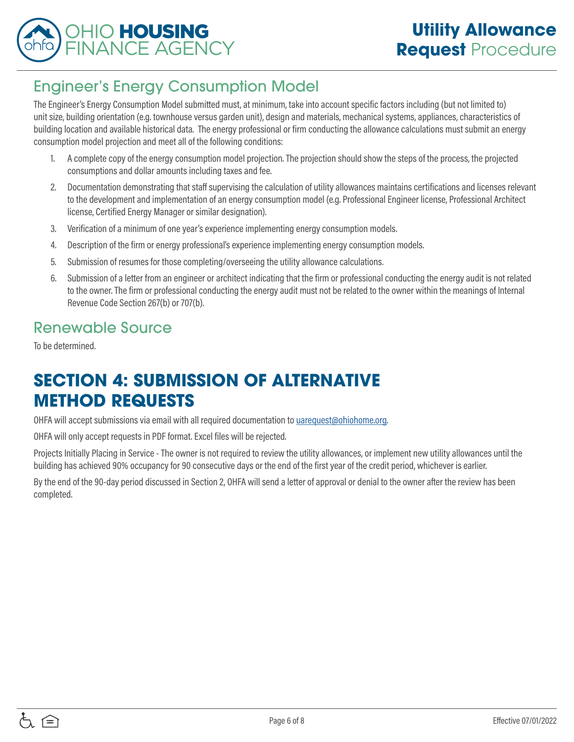

## Engineer's Energy Consumption Model

The Engineer's Energy Consumption Model submitted must, at minimum, take into account specific factors including (but not limited to) unit size, building orientation (e.g. townhouse versus garden unit), design and materials, mechanical systems, appliances, characteristics of building location and available historical data. The energy professional or firm conducting the allowance calculations must submit an energy consumption model projection and meet all of the following conditions:

- 1. A complete copy of the energy consumption model projection. The projection should show the steps of the process, the projected consumptions and dollar amounts including taxes and fee.
- 2. Documentation demonstrating that staff supervising the calculation of utility allowances maintains certifications and licenses relevant to the development and implementation of an energy consumption model (e.g. Professional Engineer license, Professional Architect license, Certified Energy Manager or similar designation).
- 3. Verification of a minimum of one year's experience implementing energy consumption models.
- 4. Description of the firm or energy professional's experience implementing energy consumption models.
- 5. Submission of resumes for those completing/overseeing the utility allowance calculations.
- 6. Submission of a letter from an engineer or architect indicating that the firm or professional conducting the energy audit is not related to the owner. The firm or professional conducting the energy audit must not be related to the owner within the meanings of Internal Revenue Code Section 267(b) or 707(b).

## Renewable Source

To be determined.

# **SECTION 4: SUBMISSION OF ALTERNATIVE METHOD REQUESTS**

OHFA will accept submissions via email with all required documentation to [uarequest@ohiohome.org.](mailto:uarequest%40ohiohome.org?subject=)

OHFA will only accept requests in PDF format. Excel files will be rejected.

Projects Initially Placing in Service - The owner is not required to review the utility allowances, or implement new utility allowances until the building has achieved 90% occupancy for 90 consecutive days or the end of the first year of the credit period, whichever is earlier.

By the end of the 90-day period discussed in Section 2, OHFA will send a letter of approval or denial to the owner after the review has been completed.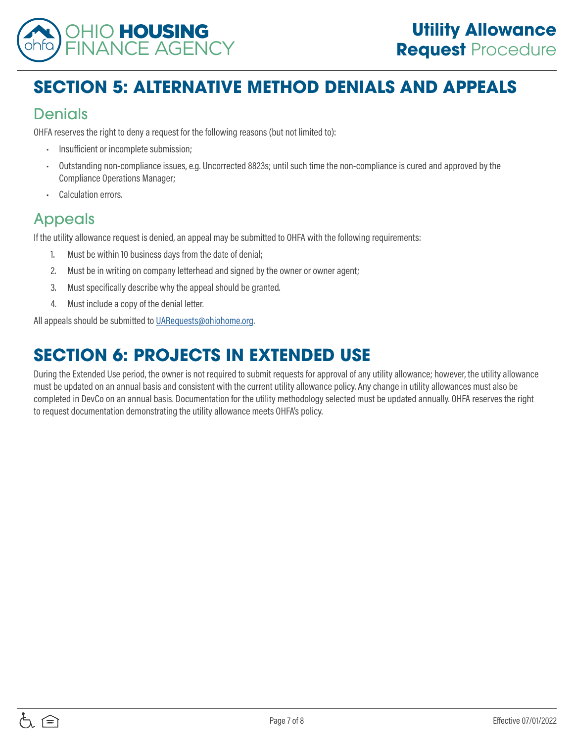

# **SECTION 5: ALTERNATIVE METHOD DENIALS AND APPEALS**

## Denials

OHFA reserves the right to deny a request for the following reasons (but not limited to):

- Insufficient or incomplete submission;
- Outstanding non-compliance issues, e.g. Uncorrected 8823s; until such time the non-compliance is cured and approved by the Compliance Operations Manager;
- Calculation errors.

## Appeals

If the utility allowance request is denied, an appeal may be submitted to OHFA with the following requirements:

- 1. Must be within 10 business days from the date of denial;
- 2. Must be in writing on company letterhead and signed by the owner or owner agent;
- 3. Must specifically describe why the appeal should be granted.
- 4. Must include a copy of the denial letter.

All appeals should be submitted to [UARequests@ohiohome.org.](mailto:UARequests%40ohiohome.org?subject=)

# **SECTION 6: PROJECTS IN EXTENDED USE**

During the Extended Use period, the owner is not required to submit requests for approval of any utility allowance; however, the utility allowance must be updated on an annual basis and consistent with the current utility allowance policy. Any change in utility allowances must also be completed in DevCo on an annual basis. Documentation for the utility methodology selected must be updated annually. OHFA reserves the right to request documentation demonstrating the utility allowance meets OHFA's policy.